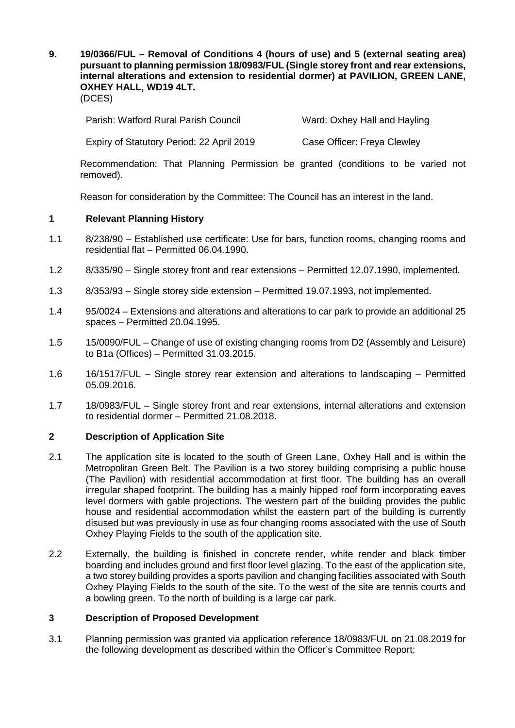**9. 19/0366/FUL – Removal of Conditions 4 (hours of use) and 5 (external seating area) pursuant to planning permission 18/0983/FUL (Single storey front and rear extensions, internal alterations and extension to residential dormer) at PAVILION, GREEN LANE, OXHEY HALL, WD19 4LT.** (DCES)

Parish: Watford Rural Parish Council Ward: Oxhey Hall and Hayling

Expiry of Statutory Period: 22 April 2019 Case Officer: Freya Clewley

Recommendation: That Planning Permission be granted (conditions to be varied not removed).

Reason for consideration by the Committee: The Council has an interest in the land.

# **1 Relevant Planning History**

- 1.1 8/238/90 Established use certificate: Use for bars, function rooms, changing rooms and residential flat – Permitted 06.04.1990.
- 1.2 8/335/90 Single storey front and rear extensions Permitted 12.07.1990, implemented.
- 1.3 8/353/93 Single storey side extension Permitted 19.07.1993, not implemented.
- 1.4 95/0024 Extensions and alterations and alterations to car park to provide an additional 25 spaces – Permitted 20.04.1995.
- 1.5 15/0090/FUL Change of use of existing changing rooms from D2 (Assembly and Leisure) to B1a (Offices) – Permitted 31.03.2015.
- 1.6 16/1517/FUL Single storey rear extension and alterations to landscaping Permitted 05.09.2016.
- 1.7 18/0983/FUL Single storey front and rear extensions, internal alterations and extension to residential dormer – Permitted 21.08.2018.

### **2 Description of Application Site**

- 2.1 The application site is located to the south of Green Lane, Oxhey Hall and is within the Metropolitan Green Belt. The Pavilion is a two storey building comprising a public house (The Pavilion) with residential accommodation at first floor. The building has an overall irregular shaped footprint. The building has a mainly hipped roof form incorporating eaves level dormers with gable projections. The western part of the building provides the public house and residential accommodation whilst the eastern part of the building is currently disused but was previously in use as four changing rooms associated with the use of South Oxhey Playing Fields to the south of the application site.
- 2.2 Externally, the building is finished in concrete render, white render and black timber boarding and includes ground and first floor level glazing. To the east of the application site, a two storey building provides a sports pavilion and changing facilities associated with South Oxhey Playing Fields to the south of the site. To the west of the site are tennis courts and a bowling green. To the north of building is a large car park.

### **3 Description of Proposed Development**

3.1 Planning permission was granted via application reference 18/0983/FUL on 21.08.2019 for the following development as described within the Officer's Committee Report;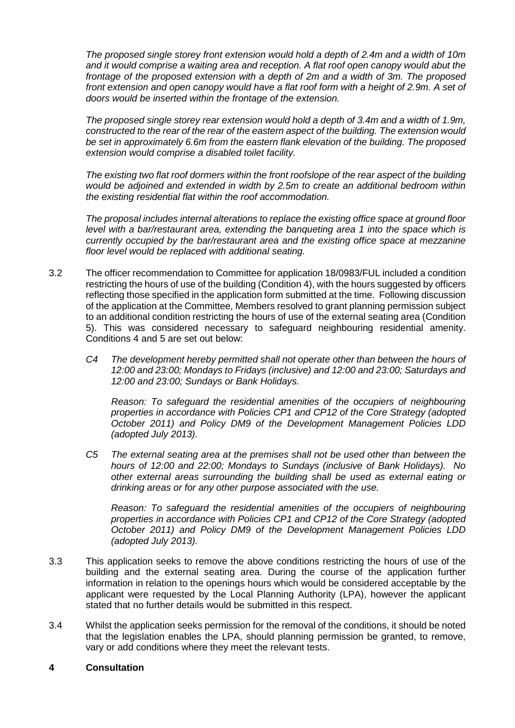*The proposed single storey front extension would hold a depth of 2.4m and a width of 10m and it would comprise a waiting area and reception. A flat roof open canopy would abut the frontage of the proposed extension with a depth of 2m and a width of 3m. The proposed front extension and open canopy would have a flat roof form with a height of 2.9m. A set of doors would be inserted within the frontage of the extension.* 

*The proposed single storey rear extension would hold a depth of 3.4m and a width of 1.9m, constructed to the rear of the rear of the eastern aspect of the building. The extension would be set in approximately 6.6m from the eastern flank elevation of the building. The proposed extension would comprise a disabled toilet facility.* 

*The existing two flat roof dormers within the front roofslope of the rear aspect of the building would be adjoined and extended in width by 2.5m to create an additional bedroom within the existing residential flat within the roof accommodation.* 

*The proposal includes internal alterations to replace the existing office space at ground floor level with a bar/restaurant area, extending the banqueting area 1 into the space which is currently occupied by the bar/restaurant area and the existing office space at mezzanine floor level would be replaced with additional seating.*

- 3.2 The officer recommendation to Committee for application 18/0983/FUL included a condition restricting the hours of use of the building (Condition 4), with the hours suggested by officers reflecting those specified in the application form submitted at the time. Following discussion of the application at the Committee, Members resolved to grant planning permission subject to an additional condition restricting the hours of use of the external seating area (Condition 5). This was considered necessary to safeguard neighbouring residential amenity. Conditions 4 and 5 are set out below:
	- *C4 The development hereby permitted shall not operate other than between the hours of 12:00 and 23:00; Mondays to Fridays (inclusive) and 12:00 and 23:00; Saturdays and 12:00 and 23:00; Sundays or Bank Holidays.*

*Reason: To safeguard the residential amenities of the occupiers of neighbouring properties in accordance with Policies CP1 and CP12 of the Core Strategy (adopted October 2011) and Policy DM9 of the Development Management Policies LDD (adopted July 2013).*

*C5 The external seating area at the premises shall not be used other than between the hours of 12:00 and 22:00; Mondays to Sundays (inclusive of Bank Holidays). No other external areas surrounding the building shall be used as external eating or drinking areas or for any other purpose associated with the use.*

*Reason: To safeguard the residential amenities of the occupiers of neighbouring properties in accordance with Policies CP1 and CP12 of the Core Strategy (adopted October 2011) and Policy DM9 of the Development Management Policies LDD (adopted July 2013).*

- 3.3 This application seeks to remove the above conditions restricting the hours of use of the building and the external seating area. During the course of the application further information in relation to the openings hours which would be considered acceptable by the applicant were requested by the Local Planning Authority (LPA), however the applicant stated that no further details would be submitted in this respect.
- 3.4 Whilst the application seeks permission for the removal of the conditions, it should be noted that the legislation enables the LPA, should planning permission be granted, to remove, vary or add conditions where they meet the relevant tests.

### **4 Consultation**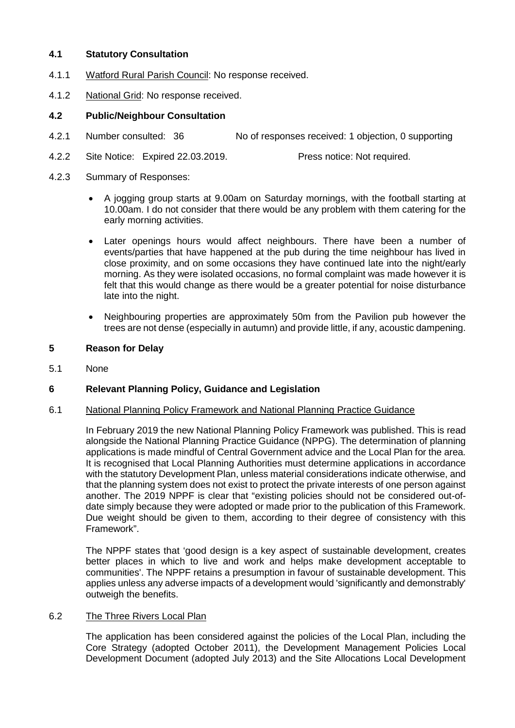### **4.1 Statutory Consultation**

- 4.1.1 Watford Rural Parish Council: No response received.
- 4.1.2 National Grid: No response received.

# **4.2 Public/Neighbour Consultation**

- 4.2.1 Number consulted: 36 No of responses received: 1 objection, 0 supporting
- 4.2.2 Site Notice: Expired 22.03.2019. Press notice: Not required.
- 4.2.3 Summary of Responses:
	- A jogging group starts at 9.00am on Saturday mornings, with the football starting at 10.00am. I do not consider that there would be any problem with them catering for the early morning activities.
	- Later openings hours would affect neighbours. There have been a number of events/parties that have happened at the pub during the time neighbour has lived in close proximity, and on some occasions they have continued late into the night/early morning. As they were isolated occasions, no formal complaint was made however it is felt that this would change as there would be a greater potential for noise disturbance late into the night.
	- Neighbouring properties are approximately 50m from the Pavilion pub however the trees are not dense (especially in autumn) and provide little, if any, acoustic dampening.

# **5 Reason for Delay**

5.1 None

# **6 Relevant Planning Policy, Guidance and Legislation**

### 6.1 National Planning Policy Framework and National Planning Practice Guidance

In February 2019 the new National Planning Policy Framework was published. This is read alongside the National Planning Practice Guidance (NPPG). The determination of planning applications is made mindful of Central Government advice and the Local Plan for the area. It is recognised that Local Planning Authorities must determine applications in accordance with the statutory Development Plan, unless material considerations indicate otherwise, and that the planning system does not exist to protect the private interests of one person against another. The 2019 NPPF is clear that "existing policies should not be considered out-ofdate simply because they were adopted or made prior to the publication of this Framework. Due weight should be given to them, according to their degree of consistency with this Framework".

The NPPF states that 'good design is a key aspect of sustainable development, creates better places in which to live and work and helps make development acceptable to communities'. The NPPF retains a presumption in favour of sustainable development. This applies unless any adverse impacts of a development would 'significantly and demonstrably' outweigh the benefits.

### 6.2 The Three Rivers Local Plan

The application has been considered against the policies of the Local Plan, including the Core Strategy (adopted October 2011), the Development Management Policies Local Development Document (adopted July 2013) and the Site Allocations Local Development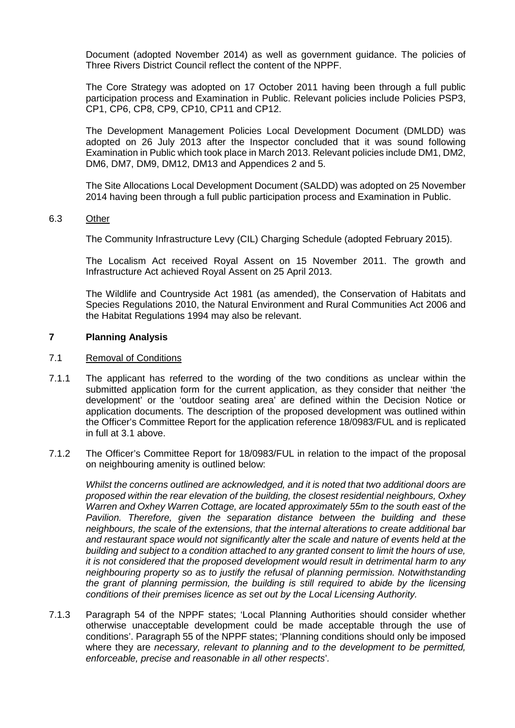Document (adopted November 2014) as well as government guidance. The policies of Three Rivers District Council reflect the content of the NPPF.

The Core Strategy was adopted on 17 October 2011 having been through a full public participation process and Examination in Public. Relevant policies include Policies PSP3, CP1, CP6, CP8, CP9, CP10, CP11 and CP12.

The Development Management Policies Local Development Document (DMLDD) was adopted on 26 July 2013 after the Inspector concluded that it was sound following Examination in Public which took place in March 2013. Relevant policies include DM1, DM2, DM6, DM7, DM9, DM12, DM13 and Appendices 2 and 5.

The Site Allocations Local Development Document (SALDD) was adopted on 25 November 2014 having been through a full public participation process and Examination in Public.

#### 6.3 Other

The Community Infrastructure Levy (CIL) Charging Schedule (adopted February 2015).

The Localism Act received Royal Assent on 15 November 2011. The growth and Infrastructure Act achieved Royal Assent on 25 April 2013.

The Wildlife and Countryside Act 1981 (as amended), the Conservation of Habitats and Species Regulations 2010, the Natural Environment and Rural Communities Act 2006 and the Habitat Regulations 1994 may also be relevant.

### **7 Planning Analysis**

#### 7.1 Removal of Conditions

- 7.1.1 The applicant has referred to the wording of the two conditions as unclear within the submitted application form for the current application, as they consider that neither 'the development' or the 'outdoor seating area' are defined within the Decision Notice or application documents. The description of the proposed development was outlined within the Officer's Committee Report for the application reference 18/0983/FUL and is replicated in full at 3.1 above.
- 7.1.2 The Officer's Committee Report for 18/0983/FUL in relation to the impact of the proposal on neighbouring amenity is outlined below:

*Whilst the concerns outlined are acknowledged, and it is noted that two additional doors are proposed within the rear elevation of the building, the closest residential neighbours, Oxhey Warren and Oxhey Warren Cottage, are located approximately 55m to the south east of the Pavilion. Therefore, given the separation distance between the building and these neighbours, the scale of the extensions, that the internal alterations to create additional bar and restaurant space would not significantly alter the scale and nature of events held at the building and subject to a condition attached to any granted consent to limit the hours of use, it is not considered that the proposed development would result in detrimental harm to any neighbouring property so as to justify the refusal of planning permission. Notwithstanding the grant of planning permission, the building is still required to abide by the licensing conditions of their premises licence as set out by the Local Licensing Authority.*

7.1.3 Paragraph 54 of the NPPF states; 'Local Planning Authorities should consider whether otherwise unacceptable development could be made acceptable through the use of conditions'. Paragraph 55 of the NPPF states; 'Planning conditions should only be imposed where they are *necessary, relevant to planning and to the development to be permitted, enforceable, precise and reasonable in all other respects*'*.*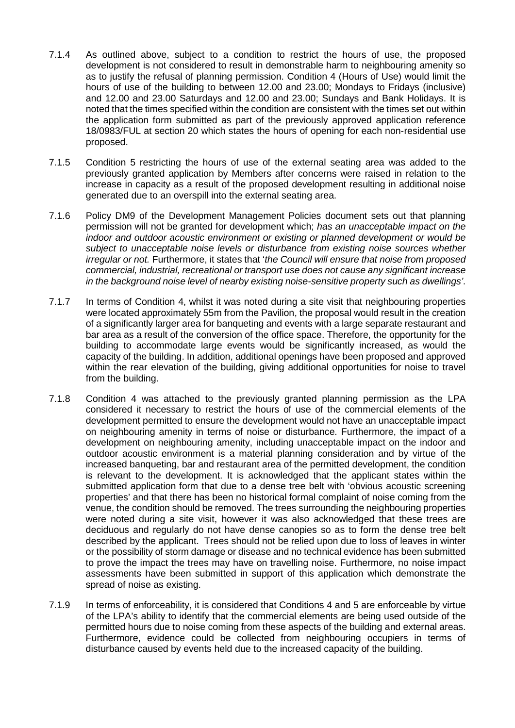- 7.1.4 As outlined above, subject to a condition to restrict the hours of use, the proposed development is not considered to result in demonstrable harm to neighbouring amenity so as to justify the refusal of planning permission. Condition 4 (Hours of Use) would limit the hours of use of the building to between 12.00 and 23.00; Mondays to Fridays (inclusive) and 12.00 and 23.00 Saturdays and 12.00 and 23.00; Sundays and Bank Holidays. It is noted that the times specified within the condition are consistent with the times set out within the application form submitted as part of the previously approved application reference 18/0983/FUL at section 20 which states the hours of opening for each non-residential use proposed.
- 7.1.5 Condition 5 restricting the hours of use of the external seating area was added to the previously granted application by Members after concerns were raised in relation to the increase in capacity as a result of the proposed development resulting in additional noise generated due to an overspill into the external seating area.
- 7.1.6 Policy DM9 of the Development Management Policies document sets out that planning permission will not be granted for development which; *has an unacceptable impact on the indoor and outdoor acoustic environment or existing or planned development or would be subject to unacceptable noise levels or disturbance from existing noise sources whether irregular or not.* Furthermore, it states that '*the Council will ensure that noise from proposed commercial, industrial, recreational or transport use does not cause any significant increase in the background noise level of nearby existing noise-sensitive property such as dwellings'*.
- 7.1.7 In terms of Condition 4, whilst it was noted during a site visit that neighbouring properties were located approximately 55m from the Pavilion, the proposal would result in the creation of a significantly larger area for banqueting and events with a large separate restaurant and bar area as a result of the conversion of the office space. Therefore, the opportunity for the building to accommodate large events would be significantly increased, as would the capacity of the building. In addition, additional openings have been proposed and approved within the rear elevation of the building, giving additional opportunities for noise to travel from the building.
- 7.1.8 Condition 4 was attached to the previously granted planning permission as the LPA considered it necessary to restrict the hours of use of the commercial elements of the development permitted to ensure the development would not have an unacceptable impact on neighbouring amenity in terms of noise or disturbance. Furthermore, the impact of a development on neighbouring amenity, including unacceptable impact on the indoor and outdoor acoustic environment is a material planning consideration and by virtue of the increased banqueting, bar and restaurant area of the permitted development, the condition is relevant to the development. It is acknowledged that the applicant states within the submitted application form that due to a dense tree belt with 'obvious acoustic screening properties' and that there has been no historical formal complaint of noise coming from the venue, the condition should be removed. The trees surrounding the neighbouring properties were noted during a site visit, however it was also acknowledged that these trees are deciduous and regularly do not have dense canopies so as to form the dense tree belt described by the applicant. Trees should not be relied upon due to loss of leaves in winter or the possibility of storm damage or disease and no technical evidence has been submitted to prove the impact the trees may have on travelling noise. Furthermore, no noise impact assessments have been submitted in support of this application which demonstrate the spread of noise as existing.
- 7.1.9 In terms of enforceability, it is considered that Conditions 4 and 5 are enforceable by virtue of the LPA's ability to identify that the commercial elements are being used outside of the permitted hours due to noise coming from these aspects of the building and external areas. Furthermore, evidence could be collected from neighbouring occupiers in terms of disturbance caused by events held due to the increased capacity of the building.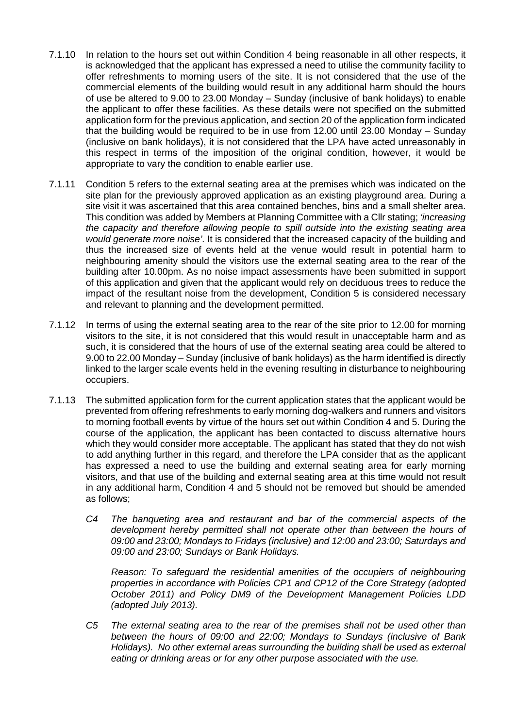- 7.1.10 In relation to the hours set out within Condition 4 being reasonable in all other respects, it is acknowledged that the applicant has expressed a need to utilise the community facility to offer refreshments to morning users of the site. It is not considered that the use of the commercial elements of the building would result in any additional harm should the hours of use be altered to 9.00 to 23.00 Monday – Sunday (inclusive of bank holidays) to enable the applicant to offer these facilities. As these details were not specified on the submitted application form for the previous application, and section 20 of the application form indicated that the building would be required to be in use from 12.00 until 23.00 Monday – Sunday (inclusive on bank holidays), it is not considered that the LPA have acted unreasonably in this respect in terms of the imposition of the original condition, however, it would be appropriate to vary the condition to enable earlier use.
- 7.1.11 Condition 5 refers to the external seating area at the premises which was indicated on the site plan for the previously approved application as an existing playground area. During a site visit it was ascertained that this area contained benches, bins and a small shelter area. This condition was added by Members at Planning Committee with a Cllr stating; *'increasing the capacity and therefore allowing people to spill outside into the existing seating area would generate more noise'*. It is considered that the increased capacity of the building and thus the increased size of events held at the venue would result in potential harm to neighbouring amenity should the visitors use the external seating area to the rear of the building after 10.00pm. As no noise impact assessments have been submitted in support of this application and given that the applicant would rely on deciduous trees to reduce the impact of the resultant noise from the development, Condition 5 is considered necessary and relevant to planning and the development permitted.
- 7.1.12 In terms of using the external seating area to the rear of the site prior to 12.00 for morning visitors to the site, it is not considered that this would result in unacceptable harm and as such, it is considered that the hours of use of the external seating area could be altered to 9.00 to 22.00 Monday – Sunday (inclusive of bank holidays) as the harm identified is directly linked to the larger scale events held in the evening resulting in disturbance to neighbouring occupiers.
- 7.1.13 The submitted application form for the current application states that the applicant would be prevented from offering refreshments to early morning dog-walkers and runners and visitors to morning football events by virtue of the hours set out within Condition 4 and 5. During the course of the application, the applicant has been contacted to discuss alternative hours which they would consider more acceptable. The applicant has stated that they do not wish to add anything further in this regard, and therefore the LPA consider that as the applicant has expressed a need to use the building and external seating area for early morning visitors, and that use of the building and external seating area at this time would not result in any additional harm, Condition 4 and 5 should not be removed but should be amended as follows;
	- *C4 The banqueting area and restaurant and bar of the commercial aspects of the*  development hereby permitted shall not operate other than between the hours of *09:00 and 23:00; Mondays to Fridays (inclusive) and 12:00 and 23:00; Saturdays and 09:00 and 23:00; Sundays or Bank Holidays.*

*Reason: To safeguard the residential amenities of the occupiers of neighbouring properties in accordance with Policies CP1 and CP12 of the Core Strategy (adopted October 2011) and Policy DM9 of the Development Management Policies LDD (adopted July 2013).*

*C5 The external seating area to the rear of the premises shall not be used other than between the hours of 09:00 and 22:00; Mondays to Sundays (inclusive of Bank Holidays). No other external areas surrounding the building shall be used as external eating or drinking areas or for any other purpose associated with the use.*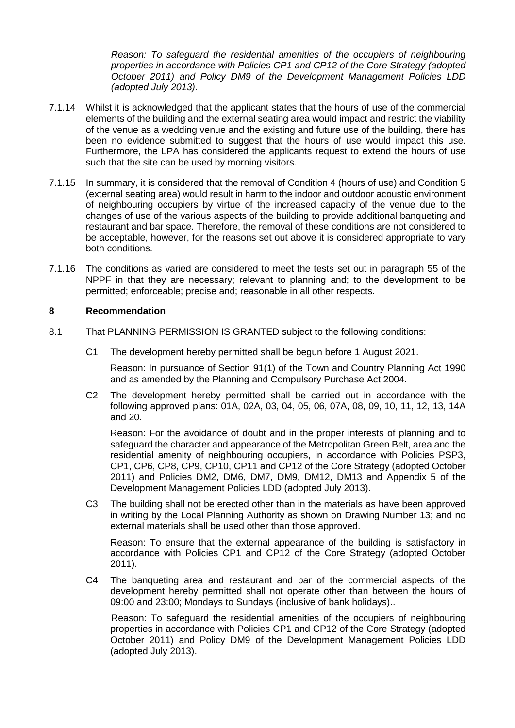*Reason: To safeguard the residential amenities of the occupiers of neighbouring properties in accordance with Policies CP1 and CP12 of the Core Strategy (adopted October 2011) and Policy DM9 of the Development Management Policies LDD (adopted July 2013).*

- 7.1.14 Whilst it is acknowledged that the applicant states that the hours of use of the commercial elements of the building and the external seating area would impact and restrict the viability of the venue as a wedding venue and the existing and future use of the building, there has been no evidence submitted to suggest that the hours of use would impact this use. Furthermore, the LPA has considered the applicants request to extend the hours of use such that the site can be used by morning visitors.
- 7.1.15 In summary, it is considered that the removal of Condition 4 (hours of use) and Condition 5 (external seating area) would result in harm to the indoor and outdoor acoustic environment of neighbouring occupiers by virtue of the increased capacity of the venue due to the changes of use of the various aspects of the building to provide additional banqueting and restaurant and bar space. Therefore, the removal of these conditions are not considered to be acceptable, however, for the reasons set out above it is considered appropriate to vary both conditions.
- 7.1.16 The conditions as varied are considered to meet the tests set out in paragraph 55 of the NPPF in that they are necessary; relevant to planning and; to the development to be permitted; enforceable; precise and; reasonable in all other respects.

### **8 Recommendation**

- 8.1 That PLANNING PERMISSION IS GRANTED subject to the following conditions:
	- C1 The development hereby permitted shall be begun before 1 August 2021.

Reason: In pursuance of Section 91(1) of the Town and Country Planning Act 1990 and as amended by the Planning and Compulsory Purchase Act 2004.

C2 The development hereby permitted shall be carried out in accordance with the following approved plans: 01A, 02A, 03, 04, 05, 06, 07A, 08, 09, 10, 11, 12, 13, 14A and 20.

Reason: For the avoidance of doubt and in the proper interests of planning and to safeguard the character and appearance of the Metropolitan Green Belt, area and the residential amenity of neighbouring occupiers, in accordance with Policies PSP3, CP1, CP6, CP8, CP9, CP10, CP11 and CP12 of the Core Strategy (adopted October 2011) and Policies DM2, DM6, DM7, DM9, DM12, DM13 and Appendix 5 of the Development Management Policies LDD (adopted July 2013).

C3 The building shall not be erected other than in the materials as have been approved in writing by the Local Planning Authority as shown on Drawing Number 13; and no external materials shall be used other than those approved.

Reason: To ensure that the external appearance of the building is satisfactory in accordance with Policies CP1 and CP12 of the Core Strategy (adopted October 2011).

C4 The banqueting area and restaurant and bar of the commercial aspects of the development hereby permitted shall not operate other than between the hours of 09:00 and 23:00; Mondays to Sundays (inclusive of bank holidays)..

Reason: To safeguard the residential amenities of the occupiers of neighbouring properties in accordance with Policies CP1 and CP12 of the Core Strategy (adopted October 2011) and Policy DM9 of the Development Management Policies LDD (adopted July 2013).